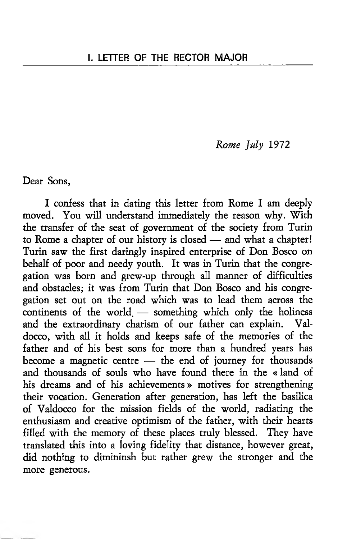### *Rome July* 1972

Dear Sons,

I confess that in dating this letter from Rome I am deeply moved. You will understand immediately the reason why. With the transfer of the seat of government of the society from Turin to Rome a chapter of our history is closed — and what a chapter! Turin saw the first daringly inspired enterprise of Don Bosco on behalf of poor and needy youth. It was in Turin that the congregation was born and grew-up through all manner of difficulties and obstacles; it was from Turin that Don Bosco and his congregation set out on the road which was to lead them across the continents of the world. — something which only the holiness and the extraordinary charism of our father can explain. Valdocco, with all it holds and keeps safe of the memories of the father and of his best sons for more than a hundred years has become a magnetic centre — the end of journey for thousands and thousands of souls who have found there in the «land of his dreams and of his achievements » motives for strengthening their vocation. Generation after generation, has left the basilica of Valdocco for the mission fields of the world, radiating the enthusiasm and creative optimism of the father, with their hearts filled with the memory of these places truly blessed. They have translated this into a loving fidelity that distance, however great, did nothing to dimininsh but rather grew the stronger and the more generous.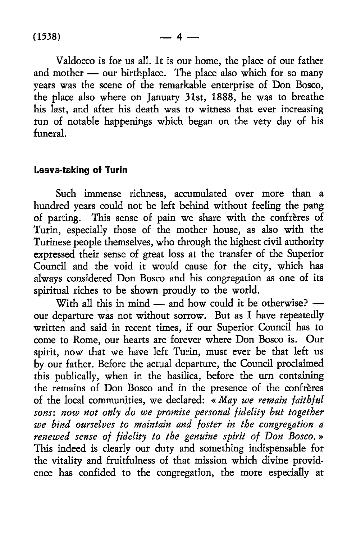Valdocco is for us all. It is our home, the place of our father and mother — our birthplace. The place also which for so many years was the scene of the remarkable enterprise of Don Bosco, the place also where on January 31st, 1888, he was to breathe his last, and after his death was to witness that ever increasing run of notable happenings which began on the very day of his funeral.

### **Leave-taking of Turin**

Such immense richness, accumulated over more than a hundred years could not be left behind without feeling the pang of parting. This sense of pain we share with the confreres of Turin, especially those of the mother house, as also with the Turinese people themselves, who through the highest civil authority expressed their sense of great loss at the transfer of the Superior Council and the void it would cause for the city, which has always considered Don Bosco and his congregation as one of its spiritual riches to be shown proudly to the world.

With all this in mind — and how could it be otherwise? our departure was not without sorrow. But as I have repeatedly written and said in recent times, if our Superior Council has to come to Rome, our hearts are forever where Don Bosco is. Our spirit, now that we have left Turin, must ever be that left us by our father. Before the actual departure, the Council proclaimed this publically, when in the basilica, before the urn containing the remains of Don Bosco and in the presence of the confreres of the local communities, we declared: « *May we remain faithful sons: now not only do we promise personal fidelity but together we bind ourselves to maintain and foster in the congregation a renewed sense of fidelity to the genuine spirit of Don Bosco. »* This indeed is clearly our duty and something indispensable for the vitality and fruitfulness of that mission which divine providence has confided to the congregation, the more especially at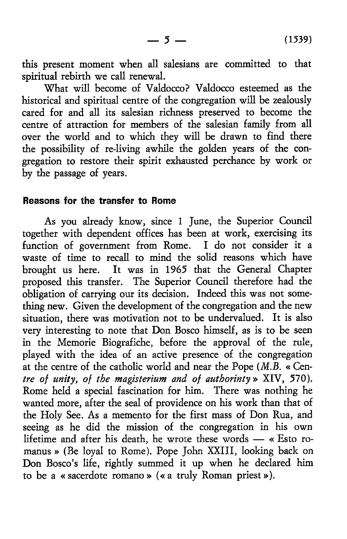this present moment when all salesians are committed to that spiritual rebirth we call renewal.

What will become of Valdocco? Valdocco esteemed as the historical and spiritual centre of the congregation will be zealously cared for and all its salesian richness preserved to become the centre of attraction for members of the salesian family from all over the world and to which they will be drawn to find there the possibility of re-living awhile the golden years of the congregation to restore their spirit exhausted perchance by work or by the passage of years.

#### **Reasons for the transfer to Rome**

As you already know, since 1 June, the Superior Council together with dependent offices has been at work, exercising its function of government from Rome. I do not consider it a waste of time to recall to mind the solid reasons which have brought us here. It was in 1965 that the General Chapter proposed this transfer. The Superior Council therefore had the obligation of carrying our its decision. Indeed this was not something new. Given the development of the congregation and the new situation, there was motivation not to be undervalued. It is also very interesting to note that Don Bosco himself, as is to be seen in the Memorie Biografiche, before the approval of the rule, played with the idea of an active presence of the congregation at the centre of the catholic world and near the Pope (*M.B.* « Centre *of unity, of the magisterium and of authorinty »* XIV, 570). Rome held a special fascination for him. There was nothing he wanted more, after the seal of providence on his work than that of the Holy See. As a memento for the first mass of Don Rua, and seeing as he did the mission of the congregation in his own lifetime and after his death, he wrote these words — « Esto romanus » (Be loyal to Rome). Pope John XXIII, looking back on Don Bosco's life, rightly summed it up when he declared him to be a « sacerdote romano » (« a truly Roman priest»).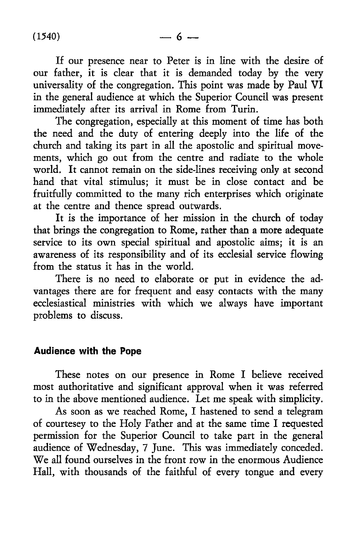If our presence near to Peter is in line with the desire of our father, it is clear that it is demanded today by the very universality of the congregation. This point was made by Paul VI in the general audience at which the Superior Council was present immediately after its arrival in Rome from Turin.

The congregation, especially at this moment of time has both the need and the duty of entering deeply into the life of the church and taking its part in all the apostolic and spiritual movements, which go out from the centre and radiate to the whole world. It cannot remain on the side-lines receiving only at second hand that vital stimulus; it must be in close contact and be fruitfully committed to the many rich enterprises which originate at the centre and thence spread outwards.

It is the importance of her mission in the church of today that brings the congregation to Rome, rather than a more adequate service to its own special spiritual and apostolic aims; it is an awareness of its responsibility and of its ecclesial service flowing from the status it has in the world.

There is no need to elaborate or put in evidence the advantages there are for frequent and easy contacts with the many ecclesiastical ministries with which we always have important problems to discuss.

#### **Audience with the Pope**

These notes on our presence in Rome I believe received most authoritative and significant approval when it was referred to in the above mentioned audience. Let me speak with simplicity.

As soon as we reached Rome, I hastened to send a telegram of courtesey to the Holy Father and at the same time I requested permission for the Superior Council to take part in the general audience of Wednesday, 7 June. This was immediately conceded. We all found ourselves in the front row in the enormous Audience Hall, with thousands of the faithful of every tongue and every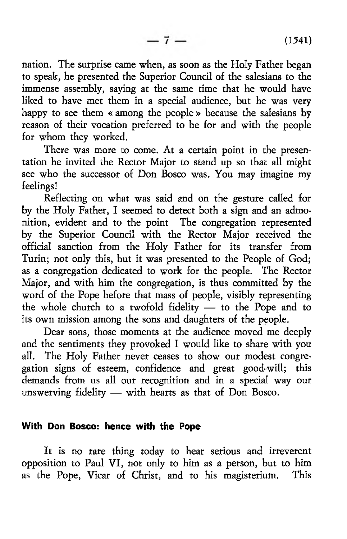nation. The surprise came when, as soon as the Holy Father began to speak, he presented the Superior Council of the salesians to the immense assembly, saying at the same time that he would have liked to have met them in a special audience, but he was very happy to see them « among the people » because the salesians by reason of their vocation preferred to be for and with the people for whom they worked.

 $-7-$ 

There was more to come. At a certain point in the presentation he invited the Rector Major to stand up so that all might see who the successor of Don Bosco was. You may imagine my feelings!

Reflecting on what was said and on the gesture called for by the Holy Father, I seemed to detect both a sign and an admonition, evident and to the point The congregation represented by the Superior Council with the Rector Major received the official sanction from the Holy Father for its transfer from Turin; not only this, but it was presented to the People of God; as a congregation dedicated to work for the people. The Rector Major, and with him the congregation, is thus committed by the word of the Pope before that mass of people, visibly representing the whole church to a twofold fidelity — to the Pope and to its own mission among the sons and daughters of the people.

Dear sons, those moments at the audience moved me deeply and the sentiments they provoked I would like to share with you all. The Holy Father never ceases to show our modest congregation signs of esteem, confidence and great good-will; this demands from us all our recognition and in a special way our unswerving fidelity — with hearts as that of Don Bosco.

#### **With Don Bosco: hence with the Pope**

It is no rare thing today to hear serious and irreverent opposition to Paul VI, not only to him as a person, but to him as the Pope, Vicar of Christ, and to his magisterium. This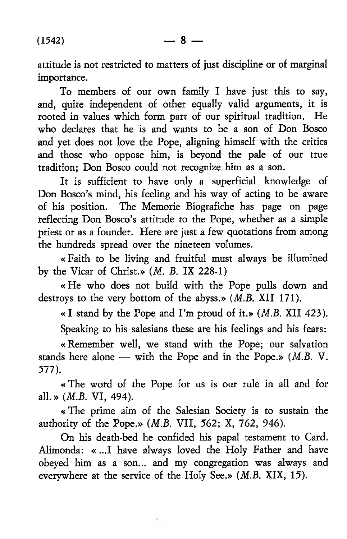attitude is not restricted to matters of just discipline or of marginal importance.

To members of our own family I have just this to say, and, quite independent of other equally valid arguments, it is rooted in values which form part of our spiritual tradition. He who declares that he is and wants to be a son of Don Bosco and yet does not love the Pope, aligning himself with the critics and those who oppose him, is beyond the pale of our true tradition; Don Bosco could not recognize him as a son.

It is sufficient to have only a superficial knowledge of Don Bosco's mind, his feeling and his way of acting to be aware of his position. The Memorie Biografiche has page on page reflecting Don Bosco's attitude to the Pope, whether as a simple priest or as a founder. Here are just a few quotations from among the hundreds spread over the nineteen volumes.

« Faith to be living and fruitful must always be illumined by the Vicar of Christ.» *(M. B.* IX 228-1)

«He who does not build with the Pope pulls down and destroys to the very bottom of the abyss.» (*M.B.* XII 171).

« I stand by the Pope and I 'm proud of it.» *(M.B.* XII 423).

Speaking to his salesians these are his feelings and his fears:

« Remember well, we stand with the Pope; our salvation stands here alone — with the Pope and in the Pope.» *(M.B. V. 577).*

« The word of the Pope for us is our rule in all and for all. » *(M.B.* VI, 494).

« The prime aim of the Salesian Society is to sustain the authority of the Pope.» *(M.B.* VII, 562; X, 762, 946).

On his death-bed he confided his papal testament to Card. Alimonda: « ...I have always loved the Holy Father and have obeyed him as a son... and my congregation was always and everywhere at the service of the Holy See.» *(M.B.* XIX, 15).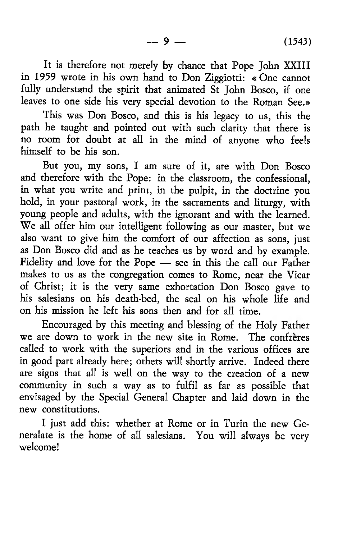It is therefore not merely by chance that Pope John XXIII in 1959 wrote in his own hand to Don Ziggiotti: «One cannot fully understand the spirit that animated St John Bosco, if one leaves to one side his very special devotion to the Roman See.»

This was Don Bosco, and this is his legacy to us, this the path he taught and pointed out with such clarity that there is no room for doubt at all in the mind of anyone who feels himself to be his son.

But you, my sons, I am sure of it, are with Don Bosco and therefore with the Pope: in the classroom, the confessional, in what you write and print, in the pulpit, in the doctrine you hold, in your pastoral work, in the sacraments and liturgy, with young people and adults, with the ignorant and with the learned. We all offer him our intelligent following as our master, but we also want to give him the comfort of our affection as sons, just as Don Bosco did and as he teaches us by word and by example. Fidelity and love for the Pope — see in this the call our Father makes to us as the congregation comes to Rome, near the Vicar of Christ; it is the very same exhortation Don Bosco gave to his salesians on his death-bed, the seal on his whole life and on his mission he left his sons then and for all time.

Encouraged by this meeting and blessing of the Holy Father we are down to work in the new site in Rome. The confrères called to work with the superiors and in the various offices are in good part already here; others will shortly arrive. Indeed there are signs that all is well on the way to the creation of a new community in such a way as to fulfil as far as possible that envisaged by the Special General Chapter and laid down in the new constitutions.

I just add this: whether at Rome or in Turin the new Generalate is the home of all salesians. You will always be very welcome!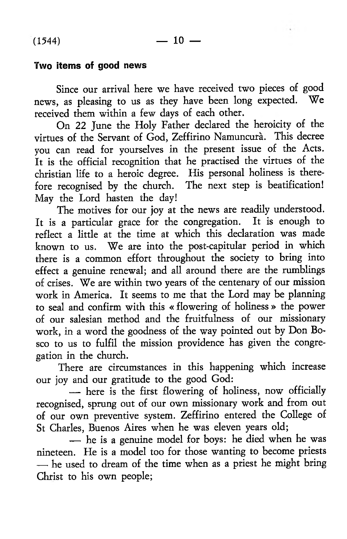### **Two items of good news**

Since our arrival here we have received two pieces of good news, as pleasing to us as they have been long expected. We received them within a few days of each other.

On 22 June the Holy Father declared the heroicity of the virtues of the Servant of God, Zeffirino Namuncura. This decree you can read for yourselves in the present issue of the Acts. It is the official recognition that he practised the virtues of the Christian life to a heroic degree. His personal holiness is therefore recognised by the church. The next step is beatification! May the Lord hasten the day!

The motives for our joy at the news are readily understood. It is a particular grace for the congregation. It is enough to reflect a little at the time at which this declaration was made known to us. We are into the post-capitular period in which there is a common effort throughout the society to bring into effect a genuine renewal; and all around there are the rumblings of crises. We are within two years of the centenary of our mission work in America. It seems to me that the Lord may be planning to seal and confirm with this « flowering of holiness » the power of our salesian method and the fruitfulness of our missionary work, in a word the goodness of the way pointed out by Don Bosco to us to fulfil the mission providence has given the congregation in the church.

There are circumstances in this happening which increase our joy and our gratitude to the good God:

— here is the first flowering of holiness, now officially recognised, sprung out of our own missionary work and from out of our own preventive system. Zeffirino entered the College of St Charles, Buenos Aires when he was eleven years old;

— he is a genuine model for boys: he died when he was nineteen. He is a model too for those wanting to become priests — he used to dream of the time when as a priest he might bring Christ to his own people;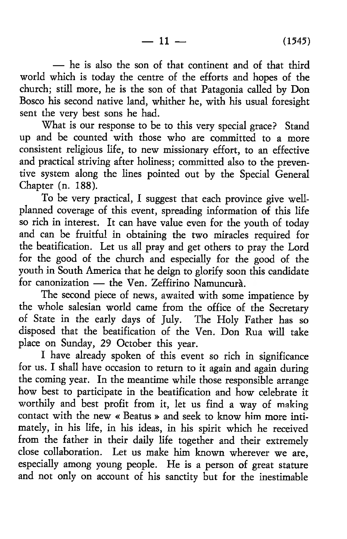— he is also the son of that continent and of that third world which is today the centre of the efforts and hopes of the church; still more, he is the son of that Patagonia called by Don Bosco his second native land, whither he, with his usual foresight sent the very best sons he had.

What is our response to be to this very special grace? Stand up and be counted with those who are committed to a more consistent religious life, to new missionary effort, to an effective and practical striving after holiness; committed also to the preventive system along the lines pointed out by the Special General Chapter (n. 188).

To be very practical, I suggest that each province give wellplanned coverage of this event, spreading information of this life so rich in interest. It can have value even for the youth of today and can be fruitful in obtaining the two miracles required for the beatification. Let us all pray and get others to pray the Lord for the good of the church and especially for the good of the youth in South America that he deign to glorify soon this candidate for canonization — the Ven. Zeffirino Namuncura.

The second piece of news, awaited with some impatience by the whole salesian world came from the office of the Secretary of State in the early days of July. The Holy Father has so disposed that the beatification of the Ven. Don Rua will take place on Sunday, 29 October this year.

I have already spoken of this event so rich in significance for us. I shall have occasion to return to it again and again during the coming year. In the meantime while those responsible arrange how best to participate in the beatification and how celebrate it worthily and best profit from it, let us find a way of making contact with the new « Beatus » and seek to know him more intimately, in his life, in his ideas, in his spirit which he received from the father in their daily life together and their extremely close collaboration. Let us make him known wherever we are, especially among young people. He is a person of great stature and not only on account of his sanctity but for the inestimable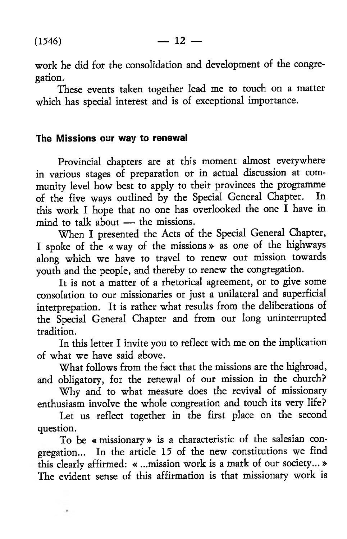$\pmb{\ast}$ 

work he did for the consolidation and development of the congregation.

These events taken together lead me to touch on a matter which has special interest and is of exceptional importance.

#### **The Missions our way to renewal**

Provincial chapters are at this moment almost everywhere in various stages of preparation or in actual discussion at community level how best to apply to their provinces the programme<br>of the five ways outlined by the Special General Chapter. In of the five ways outlined by the Special General Chapter. this work I hope that no one has overlooked the one I have in mind to talk about — the missions.

When I presented the Acts of the Special General Chapter, I spoke of the « way of the missions » as one of the highways along which we have to travel to renew our mission towards youth and the people, and thereby to renew the congregation.

It is not a matter of a rhetorical agreement, or to give some consolation to our missionaries or just a unilateral and superficial interprepation. It is rather what results from the deliberations of the Special General Chapter and from our long uninterrupted tradition.

In this letter I invite you to reflect with me on the implication of what we have said above.

What follows from the fact that the missions are the highroad, and obligatory, for the renewal of our mission in the church?

Why and to what measure does the revival of missionary enthusiasm involve the whole congreation and touch its very life?

Let us reflect together in the first place on the second question.

To be « missionary» is a characteristic of the salesian congregation... In the article 15 of the new constitutions we find this clearly affirmed: « ...mission work is a mark of our society... » The evident sense of this affirmation is that missionary work is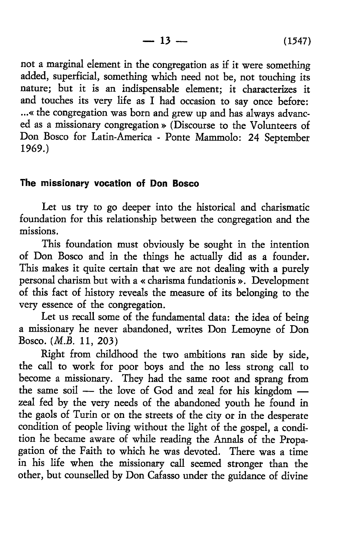not a marginal element in the congregation as if it were something added, superficial, something which need not be, not touching its nature; but it is an indispensable element; it characterizes it and touches its very life as I had occasion to say once before: ...« the congregation was bom and grew up and has always advanced as a missionary congregation » (Discourse to the Volunteers of Don Bosco for Latin-America - Ponte Mammolo: 24 September 1969.)

#### **The missionary vocation of Don Bosco**

Let us try to go deeper into the historical and charismatic foundation for this relationship between the congregation and the missions.

This foundation must obviously be sought in the intention of Don Bosco and in the things he actually did as a founder. This makes it quite certain that we are not dealing with a purely personal charism but with a « charisma fundationis ». Development of this fact of history reveals the measure of its belonging to the very essence of the congregation.

Let us recall some of the fundamental data: the idea of being a missionary he never abandoned, writes Don Lemoyne of Don Bosco. *{M.B.* 11, 203)

Right from childhood the two ambitions ran side by side, the call to work for poor boys and the no less strong call to become a missionary. They had the same root and sprang from the same soil — the love of God and zeal for his kingdom zeal fed by the very needs of the abandoned youth he found in the gaols of Turin or on the streets of the city or in the desperate condition of people living without the light of the gospel, a condition he became aware of while reading the Annals of the Propagation of the Faith to which he was devoted. There was a time in his life when the missionary call seemed stronger than the other, but counselled by Don Cafasso under the guidance of divine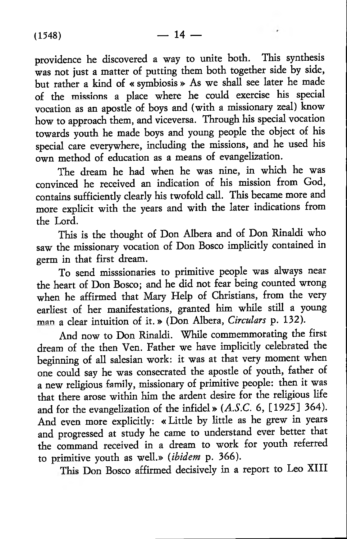providence he discovered a way to unite both. This synthesis was not just a matter of putting them both together side by side, but rather a kind of « symbiosis » As we shall see later he made of the missions a place where he could exercise his special vocation as an apostle of boys and (with a missionary zeal) know how to approach them, and viceversa. Through his special vocation towards youth he made boys and young people the object of his special care everywhere, including the missions, and he used his own method of education as a means of evangelization.

The dream he had when he was nine, in which he was convinced he received an indication of his mission from God, contains sufficiently clearly his twofold call. This became more and more explicit with the years and with the later indications from the Lord.

This is the thought of Don Albera and of Don Rinaldi who saw the missionary vocation of Don Bosco implicitly contained in germ in that first dream.

To send misssionaries to primitive people was always near the heart of Don Bosco; and he did not fear being counted wrong when he affirmed that Mary Help of Christians, from the very earliest of her manifestations, granted him while still a young man a clear intuition of it .» (Don Albera, *Circulars* p. 132).

And now to Don Rinaldi. While commemmorating the first dream of the then Ven. Father we have implicitly celebrated the beginning of all salesian work: it was at that very moment when one could say he was consecrated the apostle of youth, father of a new religious family, missionary of primitive people: then it was that there arose within him the ardent desire for the religious life and for the evangelization of the infidel» *(A.S.C.* 6, [1925] 364). And even more explicitly: « Little by little as he grew in years and progressed at study he came to understand ever better that the command received in a dream to work for youth referred to primitive youth as well.» *(ibidem* p. 366).

This Don Bosco affirmed decisively in a report to Leo XIII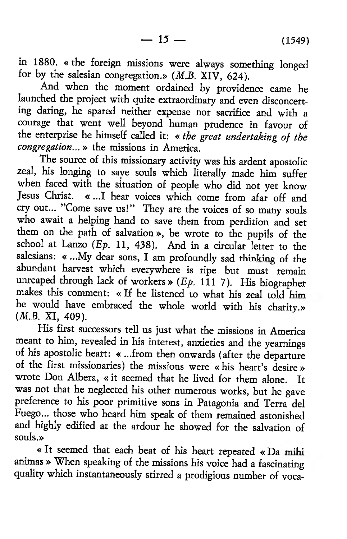in 1880. « the foreign missions were always something longed for by the salesian congregation.» *(M.B.* XIV, 624).

And when the moment ordained by providence came he launched the project with quite extraordinary and even disconcerting daring, he spared neither expense nor sacrifice and with a courage that went well beyond human prudence in favour of the enterprise he himself called it: *« the great undertaking of the congregation...* » the missions in America.

The source of this missionary activity was his ardent apostolic zeal, his longing to save souls which literally made him suffer when faced with the situation of people who did not yet know Jesus Christ. « ...I hear voices which come from afar off and cry out... ''Come save us!" They are the voices of so many souls who await a helping hand to save them from perdition and set them on the path of salvation», be wrote to the pupils of the school at Lanzo *(Ep.* 11, 438). And in a circular letter to the salesians: « ...My dear sons, I am profoundly sad thinking of the abundant harvest which everywhere is ripe but must remain unreaped through lack of workers  $\ast$  (*Ep.* 111 7). His biographer makes this comment: « If he listened to what his zeal told him he would have embraced the whole world with his charity» (*M.B. XI*, 409).

His first successors tell us just what the missions in America meant to him, revealed in his interest, anxieties and the yearnings of his apostolic heart: « ...from then onwards (after the departure of the first missionaries) the missions were «his heart's desire » wrote Don Albera, « it seemed that he lived for them alone. It was not that he neglected his other numerous works, but he gave preference to his poor primitive sons in Patagonia and Terra del Fuego... those who heard him speak of them remained astonished and highly edified at the ardour he showed for the salvation of souls.»

« It seemed that each beat of his heart repeated « Da mihi animas » When speaking of the missions his voice had a fascinating quality which instantaneously stirred a prodigious number of voca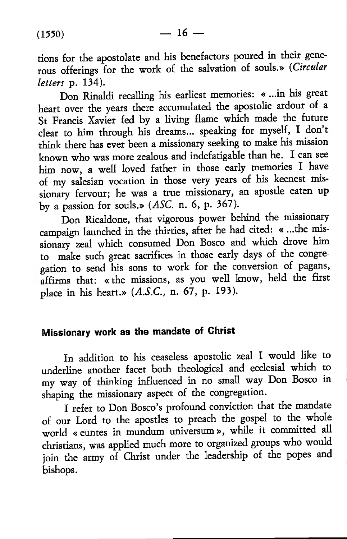tions for the apostolate and his benefactors poured in their generous offerings for the work of the salvation of souls.» *(Circular letters* p. 134).

Don Rinaldi recalling his earliest memories: « ...in his great heart over the years there accumulated the apostolic ardour of a St Francis Xavier fed by a living flame which made the future clear to him through his dreams... speaking for myself, I don't think there has ever been a missionary seeking to make his mission known who was more zealous and indefatigable than he. I can see him now, a well loved father in those early memories I have of my salesian vocation in those very years of his keenest missionary fervour; he was a true missionary, an apostle eaten up by a passion for souls.» (*ASC.* n. 6, p. 367).

Don Ricaldone, that vigorous power behind the missionary campaign launched in the thirties, after he had cited: « ...the missionary zeal which consumed Don Bosco and which drove him to make such great sacrifices in those early days of the congregation to send his sons to work for the conversion of pagans, affirms that: «the missions, as you well know, held the first place in his heart.» *(A.S.C.,* n. 67, p. 193).

## **Missionary work as the mandate of Christ**

In addition to his ceaseless apostolic zeal I would like to underline another facet both theological and ecclesial which to my way of thinking influenced in no small way Don Bosco in shaping the missionary aspect of the congregation.

I refer to Don Bosco's profound conviction that the mandate of our Lord to the apostles to preach the gospel to the whole world «euntes in mundum universum», while it committed all Christians, was applied much more to organized groups who would join the army of Christ under the leadership of the popes and bishops.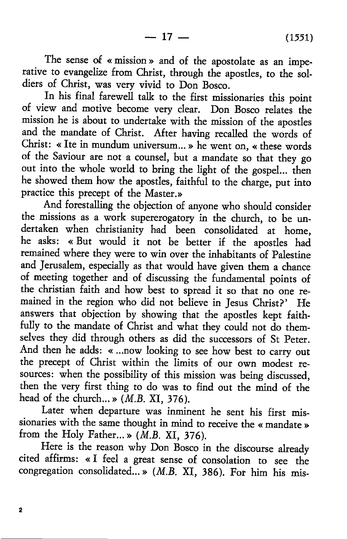The sense of « mission » and of the apostolate as an imperative to evangelize from Christ, through the apostles, to the soldiers of Christ, was very vivid to Don Bosco.

In his final farewell talk to the first missionaries this point of view and motive become very clear. Don Bosco relates the mission he is about to undertake with the mission of the apostles and the mandate of Christ. After having recalled the words of Christ: « Ite in mundum universum... » he went on, « these words of the Saviour are not a counsel, but a mandate so that they go out into the whole world to bring the light of the gospel... then he showed them how the apostles, faithful to the charge, put into practice this precept of the Master.»

And forestalling the objection of anyone who should consider the missions as a work supererogatory in the church, to be undertaken when christianity had been consolidated at home, he asks: « But would it not be better if the apostles had remained where they were to win over the inhabitants of Palestine and Jerusalem, especially as that would have given them a chance of meeting together and of discussing the fundamental points of the christian faith and how best to spread it so that no one remained in the region who did not believe in Jesus Christ?' He answers that objection by showing that the apostles kept faithfully to the mandate of Christ and what they could not do themselves they did through others as did the successors of St Peter. And then he adds: « ...now looking to see how best to carry out the precept of Christ within the limits of our own modest resources: when the possibility of this mission was being discussed, then the very first thing to do was to find out the mind of the head of the church...» *(M.B.* XI, 376).

Later when departure was inminent he sent his first missionaries with the same thought in mind to receive the « mandate » from the Holy Father...» *(M.B.* XI, 376).

Here is the reason why Don Bosco in the discourse already cited affirms: « I feel a great sense of consolation to see the congregation consolidated...» *(M.B.* XI, 386). For him his mis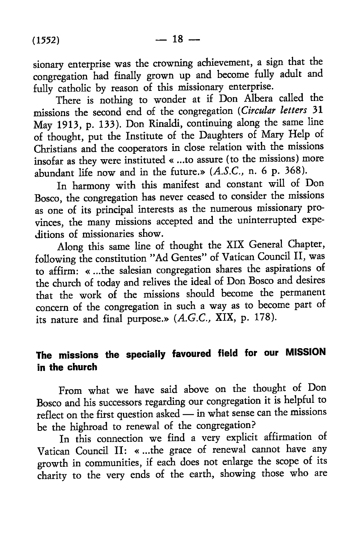sionary enterprise was the crowning achievement, a sign that the congregation had finally grown up and become fully adult and fully catholic by reason of this missionary enterprise.

There is nothing to wonder at if Don Albera called the missions the second end of the congregation *(Circular letters* 31 May 1913, p. 133). Don Rinaldi, continuing along the same line of thought, put the Institute of the Daughters of Mary Help of Christians and the cooperators in close relation with the missions insofar as they were instituted « ...to assure (to the missions) more abundant life now and in the future.» *[A.S.C.,* n. 6 p. 368).

In harmony with this manifest and constant will of Don Bosco, the congregation has never ceased to consider the missions as one of its principal interests as the numerous missionary provinces, the many missions accepted and the uninterrupted expeditions of missionaries show.

Along this same line of thought the XIX General Chapter, following the constitution "Ad Gentes" of Vatican Council II, was to affirm: « ...the salesian congregation shares the aspirations of the church of today and relives the ideal of Don Bosco and desires that the work of the missions should become the permanent concern of the congregation in such a way as to become part of its nature and final purpose.» *(A.G.C.,* XIX, p. 178).

# **The missions the specially favoured field for our MISSION in the church**

From what we have said above on the thought of Don Bosco and his successors regarding our congregation it is helpful to reflect on the first question asked — in what sense can the missions be the highroad to renewal of the congregation?

In this connection we find a very explicit affirmation of Vatican Council II: « ...the grace of renewal cannot have any growth in communities, if each does not enlarge the scope of its charity to the very ends of the earth, showing those who are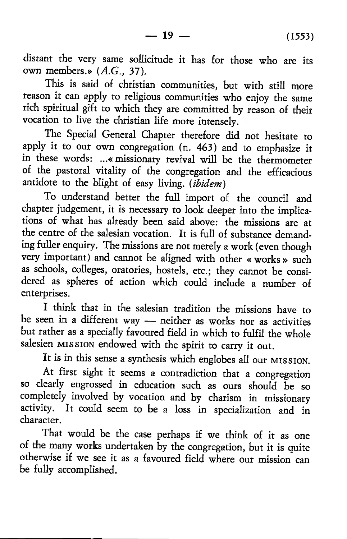distant the very same sollicitude it has for those who are its own members.» *(A.G.,* 37).

This is said of christian communities, but with still more reason it can apply to religious communities who enjoy the same rich spiritual gift to which they are committed by reason of their vocation to live the Christian life more intensely.

The Special General Chapter therefore did not hesitate to apply it to our own congregation (n. 463) and to emphasize it in these words: ...«missionary revival will be the thermometer of the pastoral vitality of the congregation and the efficacious antidote to the blight of easy living. (*ibidem*)

To understand better the full import of the council and chapter judgement, it is necessary to look deeper into the implications of what has already been said above: the missions are at the centre of the salesian vocation. It is full of substance demanding fuller enquiry. The missions are not merely a work (even though very important) and cannot be aligned with other « works » such as schools, colleges, oratories, hostels, etc.; they cannot be considered as spheres of action which could include a number of enterprises.

I think that in the salesian tradition the missions have to be seen in a different way — neither as works nor as activities but rather as a specially favoured field in which to fulfil the whole salesien MISSION endowed with the spirit to carry it out.

It is in this sense a synthesis which englobes all our MISSION.

At first sight it seems a contradiction that a congregation so clearly engrossed in education such as ours should be so completely involved by vocation and by charism in missionary activity. It could seem to be a loss in specialization and in character.

That would be the case perhaps if we think of it as one of the many works undertaken by the congregation, but it is quite otherwise if we see it as a favoured field where our mission can be fully accomplished.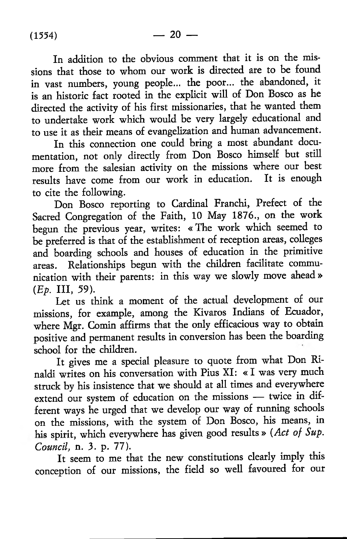In addition to the obvious comment that it is on the missions that those to whom our work is directed are to be found in vast numbers, young people... the poor... the abandoned, it is an historic fact rooted in the explicit will of Don Bosco as he directed the activity of his first missionaries, that he wanted them to undertake work which would be very largely educational and to use it as their means of evangelization and human advancement.

In this connection one could bring a most abundant documentation, not only directly from Don Bosco himself but still more from the salesian activity on the missions where our best results have come from our work in education. It is enough to cite the following.

Don Bosco reporting to Cardinal Franchi, Prefect of the Sacred Congregation of the Faith, 10 May 1876., on the work begun the previous year, writes: «The work which seemed to be preferred is that of the establishment of reception areas, colleges and boarding schools and houses of education in the primitive areas. Relationships begun with the children facilitate communication with their parents: in this way we slowly move ahead »  $(Ep.$  III, 59).

Let us think a moment of the actual development of our missions, for example, among the Kivaros Indians of Ecuador, where Mgr. Comin affirms that the only efficacious way to obtain positive and permanent results in conversion has been the boarding school for the children.

It gives me a special pleasure to quote from what Don Rinaldi writes on his conversation with Pius XI: « I was very much struck by his insistence that we should at all times and everywhere extend our system of education on the missions — twice in different ways he urged that we develop our way of running schools on the missions, with the system of Don Bosco, his means, in his spirit, which everywhere has given good results » *(Act of Sup. Council,* n. 3. p. 77).

It seem to me that the new constitutions clearly imply this conception of our missions, the field so well favoured for our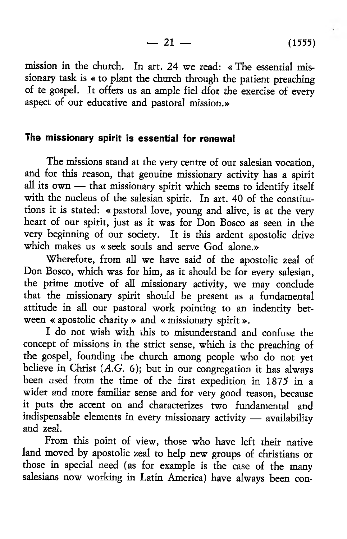$-21 - (1555)$ 

mission in the church. In art. 24 we read: « The essential missionary task is « to plant the church through the patient preaching of te gospel. It offers us an ample fiel dfor the exercise of every aspect of our educative and pastoral mission.»

## **The missionary spirit is essential for renewal**

The missions stand at the very centre of our salesian vocation, and for this reason, that genuine missionary activity has a spirit all its own — that missionary spirit which seems to identify itself with the nucleus of the salesian spirit. In art. 40 of the constitutions it is stated: « pastoral love, young and alive, is at the very heart of our spirit, just as it was for Don Bosco as seen in the very beginning of our society. It is this ardent apostolic drive which makes us « seek souls and serve God alone.»

Wherefore, from all we have said of the apostolic zeal of Don Bosco, which was for him, as it should be for every salesian, the prime motive of all missionary activity, we may conclude that the missionary spirit should be present as a fundamental attitude in all our pastoral work pointing to an indentity between « apostolic charity » and « missionary spirit».

I do not wish with this to misunderstand and confuse the concept of missions in the strict sense, which is the preaching of the gospel, founding the church among people who do not yet believe in Christ  $(A, G, 6)$ ; but in our congregation it has always been used from the time of the first expedition in 1875 in a wider and more familiar sense and for very good reason, because it puts the accent on and characterizes two fundamental and indispensable elements in every missionary activity — availability and zeal.

From this point of view, those who have left their native land moved by apostolic zeal to help new groups of christians or those in special need (as for example is the case of the many salesians now working in Latin America) have always been con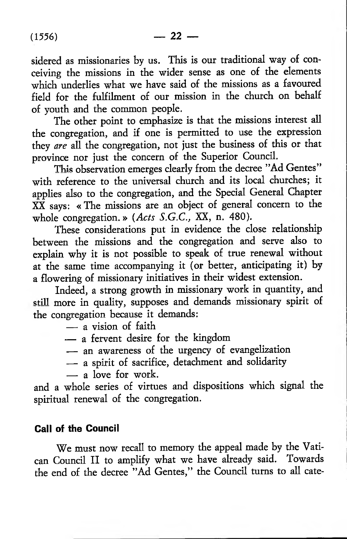sidered as missionaries by us. This is our traditional way of conceiving the missions in the wider sense as one of the elements which underlies what we have said of the missions as a favoured field for the fulfilment of our mission in the church on behalf of youth and the common people.

The other point to emphasize is that the missions interest all the congregation, and if one is permitted to use the expression they *are* all the congregation, not just the business of this or that province nor just the concern of the Superior Council.

This observation emerges clearly from the decree "Ad Gentes" with reference to the universal church and its local churches; it applies also to the congregation, and the Special General Chapter XX says: «The missions are an object of general concern to the whole congregation.» *(Acts S.G.C.,* XX, n. 480).

These considerations put in evidence the close relationship between the missions and the congregation and serve also to explain why it is not possible to speak of true renewal without at the same time accompanying it (or better, anticipating it) by a flowering of missionary initiatives in their widest extension.

Indeed, a strong growth in missionary work in quantity, and still more in quality, supposes and demands missionary spirit of the congregation because it demands:

- a vision of faith
- a fervent desire for the kingdom
- an awareness of the urgency of evangelization
- a spirit of sacrifice, detachment and solidarity
- a love for work.

and a whole series of virtues and dispositions which signal the spiritual renewal of the congregation.

#### **Call of the Council**

We must now recall to memory the appeal made by the Vatican Council II to amplify what we have already said. Towards the end of the decree "Ad Gentes," the Council turns to all cate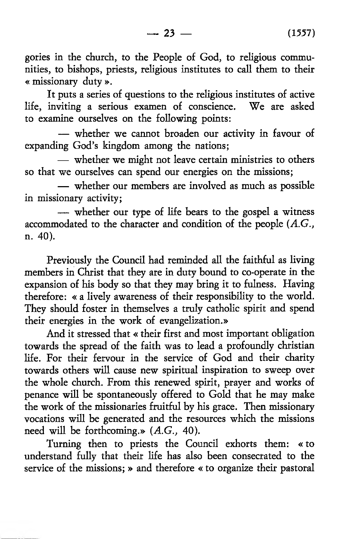**—** 23 **— (** 1557**)**

gories in the church, to the People of God, to religious communities, to bishops, priests, religious institutes to call them to their « missionary duty ».

It puts a series of questions to the religious institutes of active life, inviting a serious examen of conscience. We are asked to examine ourselves on the following points:

— whether we cannot broaden our activity in favour of expanding God's kingdom among the nations;

— whether we might not leave certain ministries to others so that we ourselves can spend our energies on the missions;

— whether our members are involved as much as possible in missionary activity;

— whether our type of life bears to the gospel a witness accommodated to the character and condition of the people *{A.G.,* n. 40).

Previously the Council had reminded all the faithful as living members in Christ that they are in duty bound to co-operate in the expansion of his body so that they may bring it to fulness. Having therefore: « a lively awareness of their responsibility to the world. They should foster in themselves a truly catholic spirit and spend their energies in the work of evangelization.»

And it stressed that « their first and most important obligation towards the spread of the faith was to lead a profoundly Christian life. For their fervour in the service of God and their charity towards others will cause new spiritual inspiration to sweep over the whole church. From this renewed spirit, prayer and works of penance will be spontaneously offered to Gold that he may make the work of the missionaries fruitful by his grace. Then missionary vocations will be generated and the resources which the missions need will be forthcoming.» (A.G., 40).

Turning then to priests the Council exhorts them: « to understand fully that their life has also been consecrated to the service of the missions; » and therefore « to organize their pastoral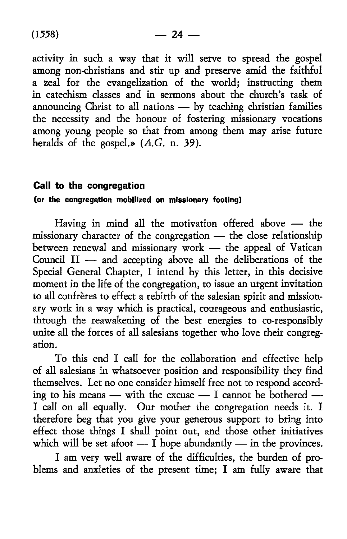activity in such a way that it will serve to spread the gospel among non-christians and stir up and preserve amid the faithful a zeal for the evangelization of the world; instructing them in catechism classes and in sermons about the church's task of announcing Christ to all nations — by teaching christian families the necessity and the honour of fostering missionary vocations among young people so that from among them may arise future heralds of the gospel.» *(A.G.* n. 39).

## **Call to the congregation**

## (or the congregation mobilized on missionary footing)

Having in mind all the motivation offered above — the missionary character of the congregation — the close relationship between renewal and missionary work — the appeal of Vatican Council II — and accepting above all the deliberations of the Special General Chapter, I intend by this letter, in this decisive moment in the life of the congregation, to issue an urgent invitation to all confrères to effect a rebirth of the salesian spirit and missionary work in a way which is practical, courageous and enthusiastic, through the reawakening of the best energies to co-responsibly unite all the forces of all salesians together who love their congregation.

To this end I call for the collaboration and effective help of all salesians in whatsoever position and responsibility they find themselves. Let no one consider himself free not to respond according to his means — with the excuse — I cannot be bothered — I call on all equally. Our mother the congregation needs it. I therefore beg that you give your generous support to bring into effect those things I shall point out, and those other initiatives which will be set afoot —  $\overline{I}$  hope abundantly — in the provinces.

I am very well aware of the difficulties, the burden of problems and anxieties of the present time; I am fully aware that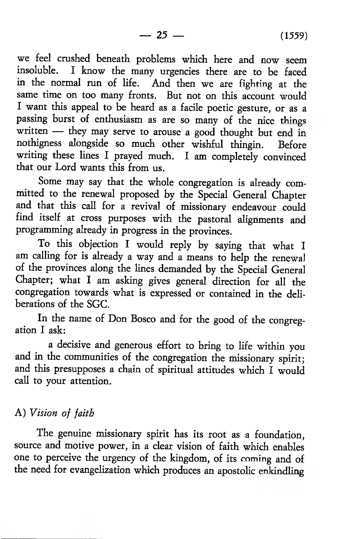we feel crushed beneath problems which here and now seem insoluble. I know the many urgencies there are to be faced in the normal run of life. And then we are fighting at the same time on too many fronts. But not on this account would I want this appeal to be heard as a facile poetic gesture, or as a passing burst of enthusiasm as are so many of the nice things written — they may serve to arouse a good thought but end in nothigness alongside so much other wishful thingin. Before writing these lines I prayed much. I am completely convinced that our Lord wants this from us.

Some may say that the whole congregation is already committed to the renewal proposed by the Special General Chapter and that this call for a revival of missionary endeavour could find itself at cross purposes with the pastoral alignments and programming already in progress in the provinces.

To this objection I would reply by saying that what I am calling for is already a way and a means to help the renewal of the provinces along the lines demanded by the Special General Chapter; what I am asking gives general direction for all the congregation towards what is expressed or contained in the deliberations of the SGC.

In the name of Don Bosco and for the good of the congregation I ask:

a decisive and generous effort to bring to life within you and in the communities of the congregation the missionary spirit; and this presupposes a chain of spiritual attitudes which I would call to your attention.

## A) *Vision of faith*

The genuine missionary spirit has its root as a foundation, source and motive power, in a clear vision of faith which enables one to perceive the urgency of the kingdom, of its coming and of the need for evangelization which produces an apostolic enkindling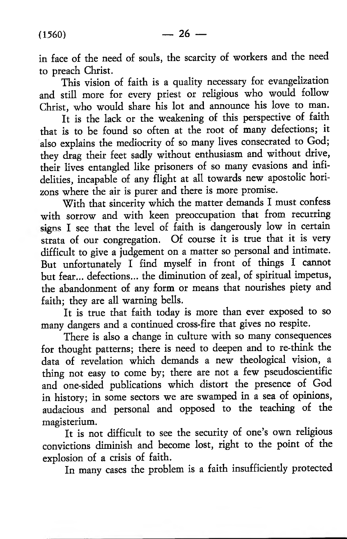in face of the need of souls, the scarcity of workers and the need to preach Christ.

This vision of faith is a quality necessary for evangelization and still more for every priest or religious who would follow Christ, who would share his lot and announce his love to man.

It is the lack or the weakening of this perspective of faith that is to be found so often at the root of many defections; it also explains the mediocrity of so many lives consecrated to God; they drag their feet sadly without enthusiasm and without drive, their lives entangled like prisoners of so many evasions and infidelities, incapable of any flight at all towards new apostolic horizons where the air is purer and there is more promise.

With that sincerity which the matter demands I must confess with sorrow and with keen preoccupation that from recurring signs I see that the level of faith is dangerously low in certain strata of our congregation. Of course it is true that it is very difficult to give a judgement on a matter so personal and intimate. But unfortunately I find myself in front of things I cannot but fear... defections... the diminution of zeal, of spiritual impetus, the abandonment of any form or means that nourishes piety and faith; they are all warning bells.

It is true that faith today is more than ever exposed to so many dangers and a continued cross-fire that gives no respite.

There is also a change in culture with so many consequences for thought patterns; there is need to deepen and to re-think the data of revelation which demands a new theological vision, a thing not easy to come by; there are not a few pseudoscientific and one-sided publications which distort the presence of God in history; in some sectors we are swamped in a sea of opinions, audacious and personal and opposed to the teaching of the magisterium.

It is not difficult to see the security of one's own religious convictions diminish and become lost, right to the point of the explosion of a crisis of faith.

In many cases the problem is a faith insufficiently protected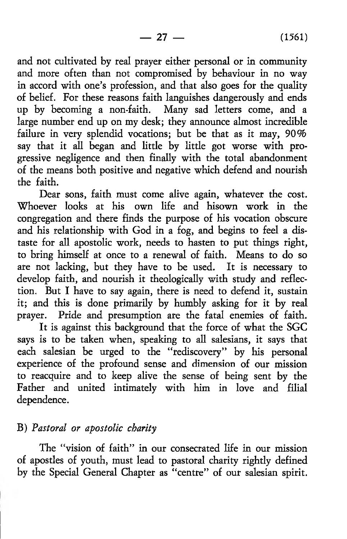$-27 - (1561)$ 

and not cultivated by real prayer either personal or in community and more often than not compromised by behaviour in no way in accord with one's profession, and that also goes for the quality of belief. For these reasons faith languishes dangerously and ends up by becoming a non-faith. Many sad letters come, and a large number end up on my desk; they announce almost incredible failure in very splendid vocations; but be that as it may, 90% say that it all began and little by little got worse with progressive negligence and then finally with the total abandonment of the means both positive and negative which defend and nourish the faith.

Dear sons, faith must come alive again, whatever the cost. Whoever looks at his own life and hisown work in the congregation and there finds the purpose of his vocation obscure and his relationship with God in a fog, and begins to feel a distaste for all apostolic work, needs to hasten to put things right, to bring himself at once to a renewal of faith. Means to do so are not lacking, but they have to be used. It is necessary to develop faith, and nourish it theologically with study and reflection. But I have to say again, there is need to defend it, sustain it; and this is done primarily by humbly asking for it by real prayer. Pride and presumption are the fatal enemies of faith.

It is against this background that the force of what the SGC says is to be taken when, speaking to all salesians, it says that each salesian be urged to the " rediscovery" by his personal experience of the profound sense and dimension of our mission to reacquire and to keep alive the sense of being sent by the Father and united intimately with him in love and filial dependence.

## B) *Pastoral or apostolic charity*

The "vision of faith" in our consecrated life in our mission of apostles of youth, must lead to pastoral charity rightly defined by the Special General Chapter as " centre" of our salesian spirit.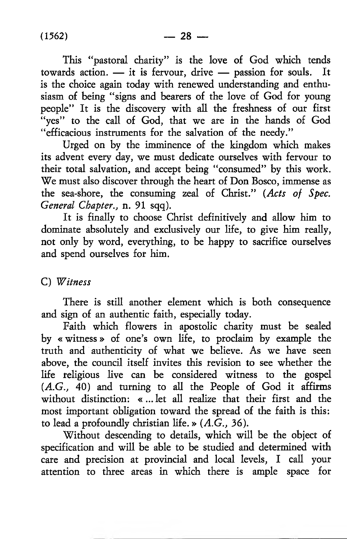This "pastoral charity" is the love of God which tends towards action. — it is fervour, drive — passion for souls. It is the choice again today with renewed understanding and enthusiasm of being "signs and bearers of the love of God for young people" It is the discovery with all the freshness of our first "yes" to the call of God, that we are in the hands of God " efficacious instruments for the salvation of the needy."

Urged on by the imminence of the kingdom which makes its advent every day, we must dedicate ourselves with fervour to their total salvation, and accept being "consumed" by this work. We must also discover through the heart of Don Bosco, immense as the sea-shore, the consuming zeal of Christ." *(Acts of Spec. General Chapter.,* n. 91 sqq).

It is finally to choose Christ definitively and allow him to dominate absolutely and exclusively our life, to give him really, not only by word, everything, to be happy to sacrifice ourselves and spend ourselves for him.

## C) *'Witness*

There is still another element which is both consequence and sign of an authentic faith, especially today.

Faith which flowers in apostolic charity must be sealed by « witness» of one's own life, to proclaim by example the truth and authenticity of what we believe. As we have seen above, the council itself invites this revision to see whether the life religious live can be considered witness to the gospel (A.G., 40) and turning to all the People of God it affirms without distinction: « ... let all realize that their first and the most important obligation toward the spread of the faith is this: to lead a profoundly christian life. » *(A.G.,* 36).

Without descending to details, which will be the object of specification and will be able to be studied and determined with care and precision at provincial and local levels, I call your attention to three areas in which there is ample space for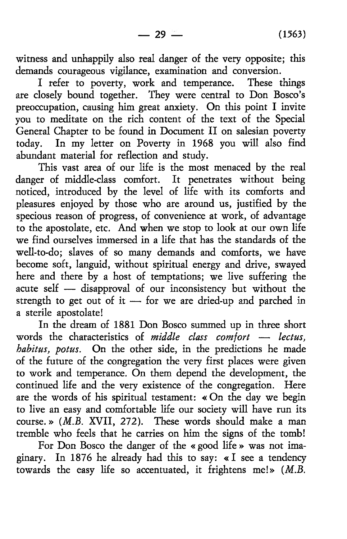witness and unhappily also real danger of the very opposite; this demands courageous vigilance, examination and conversion.

I refer to poverty, work and temperance. These things are closely bound together. They were central to Don Bosco's preoccupation, causing him great anxiety. On this point I invite you to meditate on the rich content of the text of the Special General Chapter to be found in Document II on salesian poverty today. In my letter on Poverty in 1968 you will also find abundant material for reflection and study.

This vast area of our life is the most menaced by the real danger of middle-class comfort. It penetrates without being noticed, introduced by the level of life with its comforts and pleasures enjoyed by those who are around us, justified by the specious reason of progress, of convenience at work, of advantage to the apostolate, etc. And when we stop to look at our own life we find ourselves immersed in a life that has the standards of the well-to-do; slaves of so many demands and comforts, we have become soft, languid, without spiritual energy and drive, swayed here and there by a host of temptations; we live suffering the acute self — disapproval of our inconsistency but without the strength to get out of it — for we are dried-up and parched in a sterile apostolate!

In the dream of 1881 Don Bosco summed up in three short words the characteristics of *middle class comfort* — *lectus, habitus, potus.* On the other side, in the predictions he made of the future of the congregation the very first places were given to work and temperance. On them depend the development, the continued life and the very existence of the congregation. Here are the words of his spiritual testament: « On the day we begin to live an easy and comfortable life our society will have run its course.» *(M.B.* XVII, 272). These words should make a man tremble who feels that he carries on him the signs of the tomb!

For Don Bosco the danger of the « good life » was not imaginary. In 1876 he already had this to say: « I see a tendency towards the easy life so accentuated, it frightens me!» *[M.B.*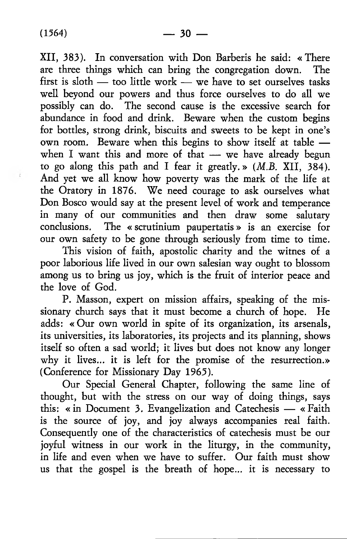XII, 383). In conversation with Don Barberis he said: « There are three things which can bring the congregation down. The first is sloth  $-$  too little work  $-$  we have to set ourselves tasks well beyond our powers and thus force ourselves to do all we possibly can do. The second cause is the excessive search for abundance in food and drink. Beware when the custom begins for bottles, strong drink, biscuits and sweets to be kept in one's own room. Beware when this begins to show itself at table when I want this and more of that - we have already begun to go along this path and I fear it greatly.» *(M.B.* XII, 384). And yet we all know how poverty was the mark of the life at the Oratory in 1876. We need courage to ask ourselves what Don Bosco would say at the present level of work and temperance in many of our communities and then draw some salutary conclusions. The « scrutinium paupertatis» is an exercise for our own safety to be gone through seriously from time to time.

This vision of faith, apostolic charity and the witnes of a poor laborious life lived in our own salesian way ought to blossom among us to bring us joy, which is the fruit of interior peace and the love of God.

P. Masson, expert on mission affairs, speaking of the missionary church says that it must become a church of hope. He adds: « Our own world in spite of its organization, its arsenals, its universities, its laboratories, its projects and its planning, shows itself so often a sad world; it lives but does not know any longer why it lives... it is left for the promise of the resurrection.» (Conference for Missionary Day 1965).

Our Special General Chapter, following the same line of thought, but with the stress on our way of doing things, says this: «in Document 3. Evangelization and Catechesis — « Faith is the source of joy, and joy always accompanies real faith. Consequently one of the characteristics of catechesis must be our joyful witness in our work in the liturgy, in the community, in life and even when we have to suffer. Our faith must show us that the gospel is the breath of hope... it is necessary to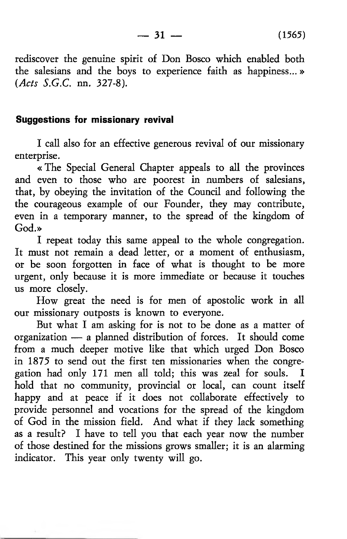rediscover the genuine spirit of Don Bosco which enabled both the salesians and the boys to experience faith as happiness...» *(Acts S.G.C.* nn. 327-8).

#### **Suggestions for missionary revival**

I call also for an effective generous revival of our missionary enterprise.

« The Special General Chapter appeals to all the provinces and even to those who are poorest in numbers of salesians, that, by obeying the invitation of the Council and following the the courageous example of our Founder, they may contribute, even in a temporary manner, to the spread of the kingdom of God.»

I repeat today this same appeal to the whole congregation. It must not remain a dead letter, or a moment of enthusiasm, or be soon forgotten in face of what is thought to be more urgent, only because it is more immediate or because it touches us more closely.

How great the need is for men of apostolic work in all our missionary outposts is known to everyone.

But what I am asking for is not to be done as a matter of organization — a planned distribution of forces. It should come from a much deeper motive like that which urged Don Bosco in 1875 to send out the first ten missionaries when the congregation had only 171 men all told; this was zeal for souls. I hold that no community, provincial or local, can count itself happy and at peace if it does not collaborate effectively to provide personnel and vocations for the spread of the kingdom of God in the mission field. And what if they lack something as a result? I have to tell you that each year now the number of those destined for the missions grows smaller; it is an alarming indicator. This year only twenty will go.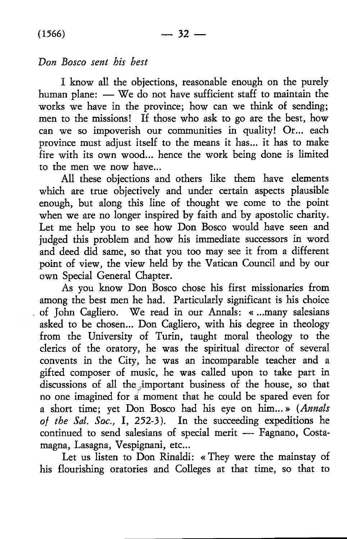## *Don Bosco sent his best*

I know all the objections, reasonable enough on the purely human plane: — We do not have sufficient staff to maintain the works we have in the province; how can we think of sending; men to the missions! If those who ask to go are the best, how can we so impoverish our communities in quality! Or... each province must adjust itself to the means it has... it has to make fire with its own wood... hence the work being done is limited to the men we now have...

All these objections and others like them have elements which are true objectively and under certain aspects plausible enough, but along this line of thought we come to the point when we are no longer inspired by faith and by apostolic charity. Let me help you to see how Don Bosco would have seen and judged this problem and how his immediate successors in word and deed did same, so that you too may see it from a different point of view, the view held by the Vatican Council and by our own Special General Chapter.

As you know Don Bosco chose his first missionaries from among the best men he had. Particularly significant is his choice of John Cagliero. We read in our Annals: « ...many salesians asked to be chosen... Don Cagliero, with his degree in theology from the University of Turin, taught moral theology to the clerics of the oratory, he was the spiritual director of several convents in the City, he was an incomparable teacher and a gifted composer of music, he was called upon to take part in discussions of all the important business of the house, so that no one imagined for ai moment that he could be spared even for a short time; yet Don Bosco had his eye on him...» *(Annals of the Sal. Soc.,* I, 252-3). In the succeeding expeditions he continued to send salesians of special merit — Fagnano, Costamagna, Lasagna, Vespignani, etc...

Let us listen to Don Rinaldi: «They were the mainstay of his flourishing oratories and Colleges at that time, so that to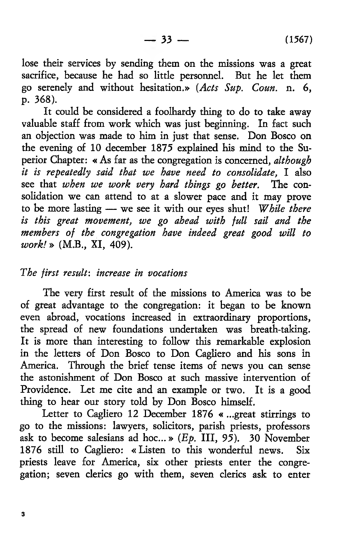lose their services by sending them on the missions was a great sacrifice, because he had so little personnel. But he let them go serenely and without hesitation.» (Acts Sup. Coun. n. 6, p. 368).

It could be considered a foolhardy thing to do to take away valuable staff from work which was just beginning. In fact such an objection was made to him in just that sense. Don Bosco on the evening of 10 december 1875 explained his mind to the Superior Chapter: « As far as the congregation is concerned, *although it is repeatedly said that we have need to consolidate,* I also see that *when we work very hard things go better.* The consolidation we can attend to at a slower pace and it may prove to be more lasting — we see it with our eyes shut! *While there is this great movement, we go ahead with full sail and the members of the congregation have indeed great good will to work!* » (M.B., XI, 409).

#### *The first result: increase in vocations*

The very first result of the missions to America was to be of great advantage to the congregation: it began to be known even abroad, vocations increased in extraordinary proportions, the spread of new foundations undertaken was breath-taking. It is more than interesting to follow this remarkable explosion in the letters of Don Bosco to Don Cagliero and his sons in America. Through the brief tense items of news you can sense the astonishment of Don Bosco at such massive intervention of Providence. Let me cite and an example or two. It is a good thing to hear our story told by Don Bosco himself.

Letter to Cagliero 12 December 1876 « ...great stirrings to go to the missions: lawyers, solicitors, parish priests, professors ask to become salesians ad hoc...»  $(Ep.$  III,  $95)$ . 30 November 1876 still to Cagliero: « Listen to this wonderful news. Six priests leave for America, six other priests enter the congregation; seven clerics go with them, seven clerics ask to enter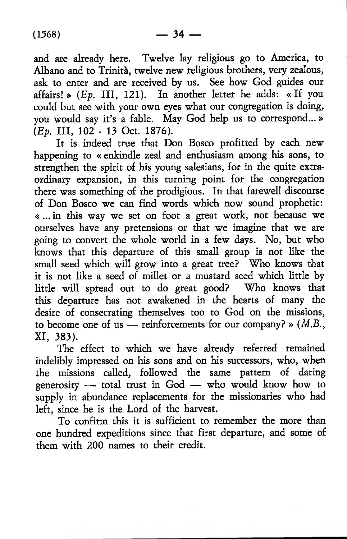and are already here. Twelve lay religious go to America, to Albano and to Trinita, twelve new religious brothers, very zealous, ask to enter and are received by us. See how God guides our affairs! » (Ep. III, 121). In another letter he adds: « If you could but see with your own eyes what our congregation is doing, you would say it's a fable. May God help us to correspond...»  $(E_{p.}$  III, 102 - 13 Oct. 1876).

It is indeed true that Don Bosco profitted by each new happening to « enkindle zeal and enthusiasm among his sons, to strengthen the spirit of his young salesians, for in the quite extraordinary expansion, in this turning point for the congregation there was something of the prodigious. In that farewell discourse of Don Bosco we can find words which now sound prophetic: « ...in this way we set on foot a great work, not because we ourselves have any pretensions or that we imagine that we are going to convert the whole world in a few days. No, but who knows that this departure of this small group is not like the small seed which will grow into a great tree? Who knows that it is not like a seed of millet or a mustard seed which little by little will spread out to do great good? Who knows that this departure has not awakened in the hearts of many the desire of consecrating themselves too to God on the missions, to become one of us — reinforcements for our company? » *(M.B.,* XI, 383).

The effect to which we have already referred remained indelibly impressed on his sons and on his successors, who, when the missions called, followed the same pattern of daring generosity — total trust in God — who would know how to supply in abundance replacements for the missionaries who had left, since he is the Lord of the harvest.

To confirm this it is sufficient to remember the more than one hundred expeditions since that first departure, and some of them with 200 names to their credit.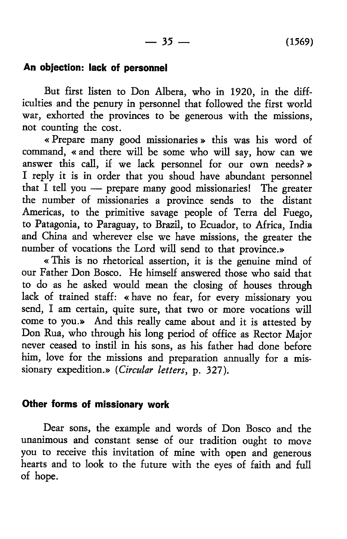## **An objection: lack of personnel**

But first listen to Don Albera, who in 1920, in the difficulties and the penury in personnel that followed the first world war, exhorted the provinces to be generous with the missions, not counting the cost.

« Prepare many good missionaries» this was his word of command, « and there will be some who will say, how can we answer this call, if we lack personnel for our own needs? » I reply it is in order that you shoud have abundant personnel that I tell you — prepare many good missionaries! The greater the number of missionaries a province sends to the distant Americas, to the primitive savage people of Terra del Fuego, to Patagonia, to Paraguay, to Brazil, to Ecuador, to Africa, India and China and wherever else we have missions, the greater the number of vocations the Lord will send to that province.»

« This is no rhetorical assertion, it is the genuine mind of our Father Don Bosco. He himself answered those who said that to do as he asked would mean the closing of houses through lack of trained staff: «have no fear, for every missionary you send, I am certain, quite sure, that two or more vocations will come to you.» And this really came about and it is attested by Don Rua, who through his long period of office as Rector Major never ceased to instil in his sons, as his father had done before him, love for the missions and preparation annually for a missionary expedition.» *(Circular letters*, p. 327).

## **Other forms of missionary work**

Dear sons, the example and words of Don Bosco and the unanimous and constant sense of our tradition ought to move you to receive this invitation of mine with open and generous hearts and to look to the future with the eyes of faith and full of hope.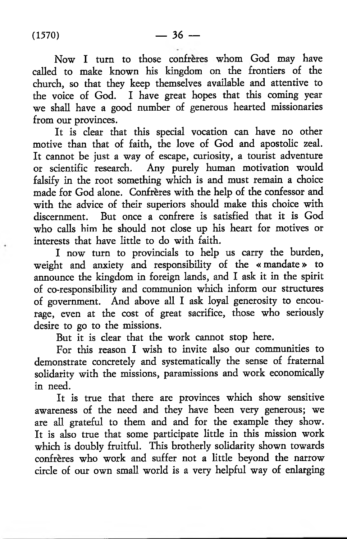Now I turn to those confrères whom God may have called to make known his kingdom on the frontiers of the church, so that they keep themselves available and attentive to the voice of God. I have great hopes that this coming year we shall have a good number of generous hearted missionaries from our provinces.

It is clear that this special vocation can have no other motive than that of faith, the love of God and apostolic zeal. It cannot be just a way of escape, curiosity, a tourist adventure or scientific research. Any purely human motivation would falsify in the root something which is and must remain a choice made for God alone. Confreres with the help of the confessor and with the advice of their superiors should make this choice with discernment. But once a confrere is satisfied that it is God who calls him he should not close up his heart for motives or interests that have little to do with faith.

I now turn to provincials to help us carry the burden, weight and anxiety and responsibility of the « mandate » to announce the kingdom in foreign lands, and I ask it in the spirit of co-responsibility and communion which inform our structures of government. And above all I ask loyal generosity to encourage, even at the cost of great sacrifice, those who seriously desire to go to the missions.

But it is clear that the work cannot stop here.

For this reason I wish to invite also our communities to demonstrate concretely and systematically the sense of fraternal solidarity with the missions, paramissions and work economically in need.

It is true that there are provinces which show sensitive awareness of the need and they have been very generous; we are all grateful to them and and for the example they show. It is also true that some participate little in this mission work which is doubly fruitful. This brotherly solidarity shown towards confreres who work and suffer not a little beyond the narrow circle of our own small world is a very helpful way of enlarging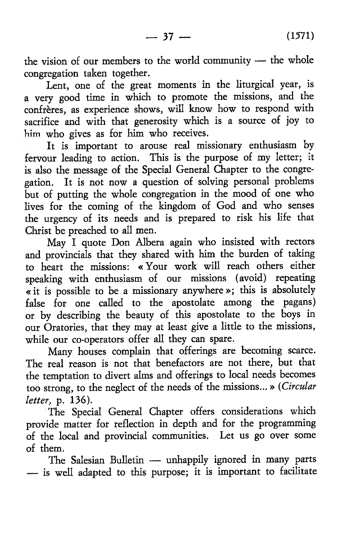the vision of our members to the world community — the whole congregation taken together.

Lent, one of the great moments in the liturgical year, is a very good time in which to promote the missions, and the confreres, as experience shows, will know how to respond with sacrifice and with that generosity which is a source of joy to him who gives as for him who receives.

It is important to arouse real missionary enthusiasm by fervour leading to action. This is the purpose of my letter; it is also the message of the Special General Chapter to the congregation. It is not now a question of solving personal problems but of putting the whole congregation in the mood of one who lives for the coming of the kingdom of God and who senses the urgency of its needs and is prepared to risk his life that Christ be preached to all men.

May I quote Don Albera again who insisted with rectors and provincials that they shared with him the burden of taking to heart the missions: «Your work will reach others either speaking with enthusiasm of our missions (avoid) repeating « it is possible to be a missionary anywhere »; this is absolutely false for one called to the apostolate among the pagans) or by describing the beauty of this apostolate to the boys in our Oratories, that they may at least give a little to the missions, while our co-operators offer all they can spare.

Many houses complain that offerings are becoming scarce. The real reason is not that benefactors are not there, but that the temptation to divert alms and offerings to local needs becomes too strong, to the neglect of the needs of the missions... » *(Circular letter,* p. 136).

The Special General Chapter offers considerations which provide matter for reflection in depth and for the programming of the local and provincial communities. Let us go over some of them.

The Salesian Bulletin — unhappily ignored in many parts — is well adapted to this purpose; it is important to facilitate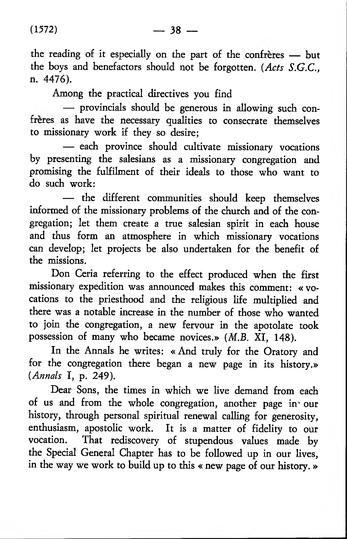the reading of it especially on the part of the confreres — but the boys and benefactors should not be forgotten. *(Acts S.G.C.,* n. 4476).

Among the practical directives you find

— provincials should be generous in allowing such confrères as have the necessary qualities to consecrate themselves to missionary work if they so desire;

— each province should cultivate missionary vocations by presenting the salesians as a missionary congregation and promising the fulfilment of their ideals to those who want to do such work:

— the different communities should keep themselves informed of the missionary problems of the church and of the congregation; let them create a true salesian spirit in each house and thus form an atmosphere in which missionary vocations can develop; let projects be also undertaken for the benefit of the missions.

Don Ceria referring to the effect produced when the first missionary expedition was announced makes this comment: « vocations to the priesthood and the religious life multiplied and there was a notable increase in the number of those who wanted to join the congregation, a new fervour in the apotolate took possession of many who became novices.» *(M.B.* XI, 148).

In the Annals he writes: « And truly for the Oratory and for the congregation there began a new page in its history.» *(Annals* I, p. 249).

Dear Sons, the times in which we live demand from each of us and from the whole congregation, another page in' our history, through personal spiritual renewal calling for generosity, enthusiasm, apostolic work. It is a matter of fidelity to our vocation. That rediscovery of stupendous values made by the Special General Chapter has to be followed up in our lives, in the way we work to build up to this « new page of our history. »